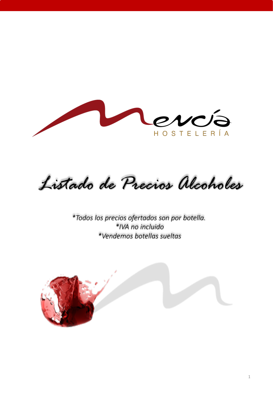

*Listado de Precios Alcoholes*

*\*Todos los precios ofertados son por botella. \*IVA no incluido \*Vendemos botellas sueltas*

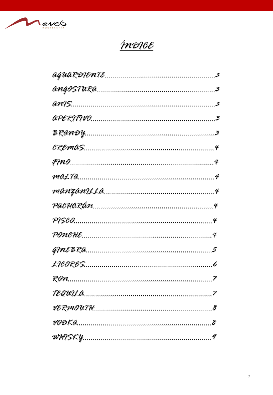

# <u>ÍNDICE</u>

| TEQWLA |
|--------|
|        |
|        |
|        |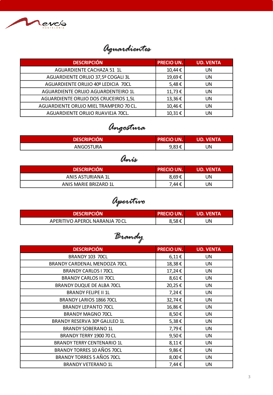

## *Aguardientes*

| <b>DESCRIPCIÓN</b>                     | <b>PRECIO UN.</b> | <b>UD. VENTA</b> |
|----------------------------------------|-------------------|------------------|
| AGUARDIENTE CACHAZA 51 1L              | 10,44€            | UN               |
| AGUARDIENTE ORUJO 37,5º COGALI 3L      | 19,69€            | UN               |
| AGUARDIENTE ORUJO 40º LEDICIA 70CL     | 5,48€             | UN               |
| AGUARDIENTE ORUJO AGUARDENTEIRO 1L     | 11,73€            | <b>UN</b>        |
| AGUARDIENTE ORUJO DOS CRUCEIROS 1,5L   | 13,36€            | UN               |
| AGUARDIENTE ORUJO MIEL TRAMPERO 70 CL. | 10,46€            | UN               |
| AGUARDIENTE ORUJO RUAVIEJA 70CL.       | 10,31€            | UN               |

# *Angostura*

| <b>DESCRIPCIÓN</b> | <b>PRECIO UN.</b>       | <b>UD. VENTA</b> |
|--------------------|-------------------------|------------------|
| ANGOSTURA          | Q 83 £<br><u>ງ,ບປ ປ</u> | UN               |

### *Anís*

| <b>DESCRIPCIÓN</b>    | <b>PRECIO UN.</b> | <b>UD. VENTA</b> |
|-----------------------|-------------------|------------------|
| ANIS ASTURIANA 1L     | 8,69€             | JN               |
| ANIS MARIE BRIZARD 1L | 7,44€             | JN               |

*Aperitivo*

| <b>DESCRIPCION</b>             | <b>PRECIO UN.</b> | <b>LUD. VENTA</b> |
|--------------------------------|-------------------|-------------------|
| APERITIVO APEROL NARANJA 70 CL | 8,58€             | UN                |

*Brandy*

| <b>DESCRIPCIÓN</b>                | <b>PRECIO UN.</b> | <b>UD. VENTA</b> |
|-----------------------------------|-------------------|------------------|
| BRANDY 103 70CL                   | $6,11 \in$        | <b>UN</b>        |
| BRANDY CARDENAL MENDOZA 70CL      | 18,38€            | UN               |
| <b>BRANDY CARLOS I 70CL</b>       | 17,24€            | <b>UN</b>        |
| <b>BRANDY CARLOS III 70CL</b>     | 8,61€             | <b>UN</b>        |
| <b>BRANDY DUQUE DE ALBA 70CL</b>  | 20,25€            | UN               |
| <b>BRANDY FELIPE II 1L</b>        | 7,24€             | <b>UN</b>        |
| BRANDY LARIOS 1866 70CL           | 32,74€            | <b>UN</b>        |
| <b>BRANDY LEPANTO 70CL</b>        | 16,86€            | <b>UN</b>        |
| <b>BRANDY MAGNO 70CL</b>          | 8,50€             | UN               |
| BRANDY RESERVA 30º GALILEO 1L     | 5,38€             | UN               |
| <b>BRANDY SOBERANO 1L</b>         | 7,79€             | UN               |
| <b>BRANDY TERRY 1900 70 CL</b>    | 9,50€             | UN               |
| <b>BRANDY TERRY CENTENARIO 1L</b> | 8,11€             | <b>UN</b>        |
| BRANDY TORRES 10 AÑOS 70CL        | 9,86€             | <b>UN</b>        |
| BRANDY TORRES 5 AÑOS 70CL         | 8,00€             | <b>UN</b>        |
| <b>BRANDY VETERANO 1L</b>         | 7,44€             | <b>UN</b>        |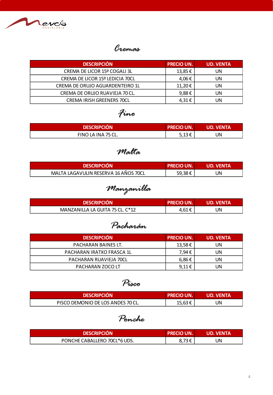

#### *Cremas*

| <b>DESCRIPCIÓN</b>               | <b>PRECIO UN.</b> | <b>UD. VENTA</b> |
|----------------------------------|-------------------|------------------|
| CREMA DE LICOR 15º COGALI 3L     | $13,85 \in$       | UN.              |
| CREMA DE LICOR 15º LEDICIA 70CL  | 4,06€             | UN.              |
| CREMA DE ORUJO AGUARDENTEIRO 1L  | 11,20€            | UN               |
| CREMA DE ORUJO RUAVIEJA 70 CL.   | 9,88€             | UN.              |
| <b>CREMA IRISH GREENERS 70CL</b> | 4,31€             | UN               |

## *Fino*

| <b>DESCRIPCIÓN</b> | <b>PRECIO UN.</b> | <b>UD. VENTA</b> |
|--------------------|-------------------|------------------|
| FINO LA INA 75 CL. | 513f<br>ت ز∟,ر    | UN               |

#### *Malta*

| <b>DESCRIPCION</b>                   | <b>LPRECIO UN.</b> | <b>TUD. VENTA</b> |
|--------------------------------------|--------------------|-------------------|
| MALTA LAGAVULIN RESERVA 16 AÑOS 70CL | 59,38€             | JN                |

# *Manzanilla*

| <b>DESCRIPCIÓN</b>              | <b>PRECIO UN.</b> | <b>UD. VENTA</b> |
|---------------------------------|-------------------|------------------|
| MANZANILLA LA GUITA 75 CL. C*12 | 4,61€             | UN               |

#### *Pacharán*

| <b>DESCRIPCIÓN</b>        | <b>PRECIO UN.</b> | <b>UD. VENTA</b> |
|---------------------------|-------------------|------------------|
| PACHARAN BAINES LT.       | 13,58€            | UN               |
| PACHARAN IRATXO FRASCA 1L | 7.94€             | UN               |
| PACHARAN RUAVIEJA 70CL    | 6,86€             | UN               |
| PACHARAN ZOCO LT          | 9.11 $\epsilon$   | UN               |

#### *Pisco*

| <b>DESCRIPCION</b>                | <b>PRECIO UN.</b> | <b>UD. VENTA</b> |
|-----------------------------------|-------------------|------------------|
| PISCO DEMONIO DE LOS ANDES 70 CL. | 15,63€            | JN               |

#### *Ponche*

| <b>DESCRIPCION</b> '         | <b>PRECIO UN.</b> | UD. VENTA |
|------------------------------|-------------------|-----------|
| PONCHE CABALLERO 70CL*6 UDS. | Q 72 F            | JN        |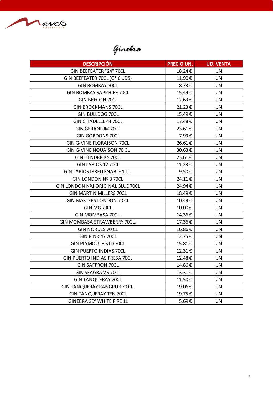

*Ginebra*

| <b>DESCRIPCIÓN</b>                | <b>PRECIO UN.</b> | <b>UD. VENTA</b> |
|-----------------------------------|-------------------|------------------|
| GIN BEEFEATER "24" 70CL           | 18,24€            | <b>UN</b>        |
| GIN BEEFEATER 70CL (C* 6 UDS)     | 11,90€            | <b>UN</b>        |
| <b>GIN BOMBAY 70CL</b>            | 8,73€             | <b>UN</b>        |
| <b>GIN BOMBAY SAPPHIRE 70CL</b>   | 15,49€            | <b>UN</b>        |
| <b>GIN BRECON 70CL</b>            | 12,63€            | <b>UN</b>        |
| <b>GIN BROCKMANS 70CL</b>         | 21,23€            | <b>UN</b>        |
| GIN BULLDOG 70CL                  | 15,49€            | <b>UN</b>        |
| <b>GIN CITADELLE 44 70CL</b>      | 17,48€            | <b>UN</b>        |
| <b>GIN GERANIUM 70CL</b>          | 23,61€            | <b>UN</b>        |
| <b>GIN GORDONS 70CL</b>           | 7,99€             | <b>UN</b>        |
| <b>GIN G-VINE FLORAISON 70CL</b>  | 26,61€            | <b>UN</b>        |
| GIN G-VINE NOUAISON 70 CL         | 30,63€            | <b>UN</b>        |
| <b>GIN HENDRICKS 70CL</b>         | 23,61€            | <b>UN</b>        |
| GIN LARIOS 12 70CL                | 11,23€            | <b>UN</b>        |
| GIN LARIOS IRRELLENABLE 1 LT.     | 9,50€             | <b>UN</b>        |
| GIN LONDON Nº 3 70CL              | 24,11€            | <b>UN</b>        |
| GIN LONDON Nº1 ORIGINAL BLUE 70CL | 24,94€            | <b>UN</b>        |
| <b>GIN MARTIN MILLERS 70CL</b>    | 18,49€            | <b>UN</b>        |
| GIN MASTERS LONDON 70 CL          | 10,49€            | <b>UN</b>        |
| GIN MG 70CL                       | 10,00€            | UN               |
| GIN MOMBASA 70CL.                 | 14,36€            | <b>UN</b>        |
| GIN MOMBASA STRAWBERRY 70CL.      | 17,36€            | <b>UN</b>        |
| GIN NORDES 70 CL                  | 16,86€            | <b>UN</b>        |
| GIN PINK 4770CL                   | 12,75€            | <b>UN</b>        |
| GIN PLYMOUTH STD 70CL             | 15,81€            | <b>UN</b>        |
| <b>GIN PUERTO INDIAS 70CL</b>     | 12,31€            | <b>UN</b>        |
| GIN PUERTO INDIAS FRESA 70CL      | 12,48€            | UN               |
| <b>GIN SAFFRON 70CL</b>           | 14,86€            | <b>UN</b>        |
| <b>GIN SEAGRAMS 70CL</b>          | 13,31€            | <b>UN</b>        |
| <b>GIN TANQUERAY 70CL</b>         | 11,50€            | <b>UN</b>        |
| GIN TANQUERAY RANGPUR 70 CL.      | 19,06€            | <b>UN</b>        |
| <b>GIN TANQUERAY TEN 70CL</b>     | 19,75€            | <b>UN</b>        |
| GINEBRA 30º WHITE FIRE 1L         | 5,69€             | <b>UN</b>        |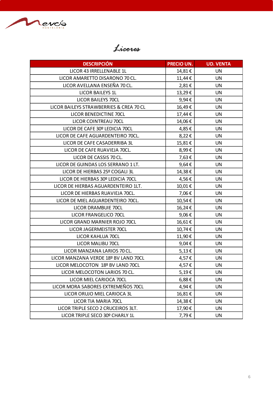

#### *Licores*

| <b>DESCRIPCIÓN</b>                      | <b>PRECIO UN.</b> | <b>UD. VENTA</b> |
|-----------------------------------------|-------------------|------------------|
| LICOR 43 IRRELLENABLE 1L                | 14,81€            | <b>UN</b>        |
| LICOR AMARETTO DISARONO 70 CL.          | 11,44€            | <b>UN</b>        |
| LICOR AVELLANA ENSEÑA 70 CL.            | 2,81€             | <b>UN</b>        |
| <b>LICOR BAILEYS 1L</b>                 | 13,29€            | <b>UN</b>        |
| LICOR BAILEYS 70CL                      | 9,94€             | <b>UN</b>        |
| LICOR BAILEYS STRAWBERRIES & CREA 70 CL | 16,49€            | <b>UN</b>        |
| LICOR BENEDICTINE 70CL                  | 17,44€            | <b>UN</b>        |
| LICOR COINTREAU 70CL                    | 14,06€            | <b>UN</b>        |
| LICOR DE CAFE 30º LEDICIA 70CL          | 4,85€             | <b>UN</b>        |
| LICOR DE CAFE AGUARDENTEIRO 70CL.       | 8,22€             | <b>UN</b>        |
| LICOR DE CAFE CASADERRIBA 3L            | 15,81€            | <b>UN</b>        |
| LICOR DE CAFE RUAVIEJA 70CL.            | 8,99€             | <b>UN</b>        |
| LICOR DE CASSIS 70 CL.                  | 7,63€             | UN               |
| LICOR DE GUINDAS LOS SERRANO 1 LT.      | 9,64€             | UN               |
| LICOR DE HIERBAS 25º COGALI 3L          | 14,38€            | <b>UN</b>        |
| LICOR DE HIERBAS 30º LEDICIA 70CL       | 4,56€             | <b>UN</b>        |
| LICOR DE HIERBAS AGUARDENTEIRO 1LT.     | 10,01€            | <b>UN</b>        |
| LICOR DE HIERBAS RUAVIEJA 70CL.         | 7,06€             | <b>UN</b>        |
| LICOR DE MIEL AGUARDENTEIRO 70CL.       | 10,54€            | <b>UN</b>        |
| LICOR DRAMBUIE 70CL                     | 16,24€            | UN               |
| LICOR FRANGELICO 70CL                   | 9,06€             | <b>UN</b>        |
| LICOR GRAND MARNIER ROJO 70CL           | 16,61€            | <b>UN</b>        |
| LICOR JAGERMEISTER 70CL                 | 10,74€            | <b>UN</b>        |
| LICOR KAHLUA 70CL                       | 11,90€            | <b>UN</b>        |
| LICOR MALIBU 70CL                       | 9,04€             | <b>UN</b>        |
| LICOR MANZANA LARIOS 70 CL.             | $5,13 \in$        | UN               |
| LICOR MANZANA VERDE 18º BV LAND 70CL    | 4,57€             | <b>UN</b>        |
| LICOR MELOCOTON 18º BV LAND 70CL        | 4,57€             | <b>UN</b>        |
| LICOR MELOCOTON LARIOS 70 CL.           | 5,19€             | <b>UN</b>        |
| LICOR MIEL CARIOCA 70CL                 | $6,88 \in$        | <b>UN</b>        |
| LICOR MORA SABORES EXTREMEÑOS 70CL      | 4,94€             | <b>UN</b>        |
| LICOR ORUJO MIEL CARIOCA 3L             | 16,81€            | <b>UN</b>        |
| LICOR TIA MARIA 70CL                    | 14,38€            | <b>UN</b>        |
| LICOR TRIPLE SECO 2 CRUCEIROS 3LT.      | 17,90€            | UN               |
| LICOR TRIPLE SECO 30º CHARLY 1L         | 7,79€             | <b>UN</b>        |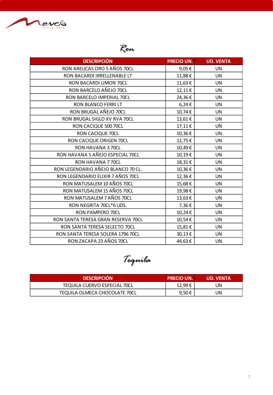

## *Ron*

| <b>DESCRIPCIÓN</b>                 | <b>PRECIO UN.</b> | <b>UD. VENTA</b> |
|------------------------------------|-------------------|------------------|
| RON AREUCAS ORO 5 AÑOS 70CL        | 9,05€             | <b>UN</b>        |
| RON BACARDI IRRELLENABLE LT        | 11,88€            | <b>UN</b>        |
| RON BACARDI LIMON 70CL             | 11,63€            | <b>UN</b>        |
| RON BARCELO AÑEJO 70CL             | 12,11€            | <b>UN</b>        |
| RON BARCELO IMPERIAL 70CL          | 24,36€            | <b>UN</b>        |
| RON BLANCO FERRI LT                | $6,24 \in$        | <b>UN</b>        |
| RON BRUGAL AÑEJO 70CL              | 10,74€            | <b>UN</b>        |
| RON BRUGAL SIGLO XV RVA 70CL       | 13,61€            | <b>UN</b>        |
| RON CACIQUE 500 70CL               | 17,11€            | <b>UN</b>        |
| RON CACIQUE 70CL                   | 10,36€            | <b>UN</b>        |
| RON CACIQUE ORIGEN 70CL            | 12,75€            | <b>UN</b>        |
| RON HAVANA 370CL                   | 10,49€            | <b>UN</b>        |
| RON HAVANA 5 AÑEJO ESPECIAL 70CL   | 10,19€            | <b>UN</b>        |
| RON HAVANA 770CL                   | 18,31€            | <b>UN</b>        |
| RON LEGENDARIO AÑEJO BLANCO 70 CL. | 10,36€            | <b>UN</b>        |
| RON LEGENDARIO ELIXIR 7 AÑOS 70CL  | 12,36€            | <b>UN</b>        |
| RON MATUSALEM 10 AÑOS 70CL         | 15,68€            | <b>UN</b>        |
| RON MATUSALEM 15 AÑOS 70CL         | 19,98€            | <b>UN</b>        |
| RON MATUSALEM 7 AÑOS 70CL          | 13,63€            | <b>UN</b>        |
| RON NEGRITA 70CL*6 UDS.            | 7,36€             | <b>UN</b>        |
| RON PAMPERO 70CL                   | 10,24€            | <b>UN</b>        |
| RON SANTA TERESA GRAN RESERVA 70CL | 10,54€            | <b>UN</b>        |
| RON SANTA TERESA SELECTO 70CL      | 15,81€            | <b>UN</b>        |
| RON SANTA TERESA SOLERA 1796 70CL  | 30,13€            | <b>UN</b>        |
| RON ZACAPA 23 AÑOS 70CL            | 44,63€            | <b>UN</b>        |

*Tequila*

| <b>DESCRIPCIÓN</b>                  | <b>PRECIO UN.</b> | <b>UD. VENTA</b> |
|-------------------------------------|-------------------|------------------|
| <b>TEQUILA CUERVO ESPECIAL 70CL</b> | 12,99€            | UN               |
| TEQUILA OLMECA CHOCOLATE 70CL       | 9,50€             | UN               |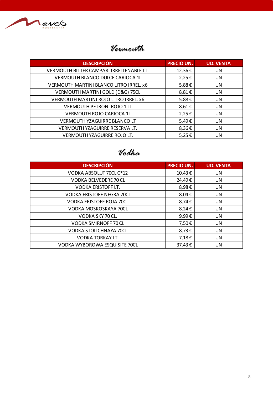

#### *Vermouth*

| <b>DESCRIPCIÓN</b>                       | <b>PRECIO UN.</b> | <b>UD. VENTA</b> |  |
|------------------------------------------|-------------------|------------------|--|
| VERMOUTH BITTER CAMPARI IRRELLENABLE LT. | 12,36€            | <b>UN</b>        |  |
| VERMOUTH BLANCO DULCE CARIOCA 1L         | 2,25€             | <b>UN</b>        |  |
| VERMOUTH MARTINI BLANCO LITRO IRREL. x6  | 5,88€             | UN               |  |
| VERMOUTH MARTINI GOLD (D&G) 75CL         | 8,81€             | <b>UN</b>        |  |
| VERMOUTH MARTINI ROJO LITRO IRREL. x6    | 5,88€             | <b>UN</b>        |  |
| <b>VERMOUTH PETRONI ROJO 1 LT</b>        | 8,61€             | <b>UN</b>        |  |
| <b>VERMOUTH ROJO CARIOCA 1L</b>          | 2,25€             | UN               |  |
| <b>VERMOUTH YZAGUIRRE BLANCO LT</b>      | 5,49€             | <b>UN</b>        |  |
| VERMOUTH YZAGUIRRE RESERVA LT.           | 8,36€             | <b>UN</b>        |  |
| VERMOUTH YZAGUIRRE ROJO LT.              | 5,25€             | <b>UN</b>        |  |
|                                          |                   |                  |  |

#### *Vodka*

| <b>DESCRIPCIÓN</b>               | <b>PRECIO UN.</b> | <b>UD. VENTA</b> |
|----------------------------------|-------------------|------------------|
| VODKA ABSOLUT 70CL C*12          | 10,43€            | <b>UN</b>        |
| VODKA BELVEDERE 70 CL            | 24,49€            | <b>UN</b>        |
| <b>VODKA ERISTOFF LT.</b>        | 8,98€             | <b>UN</b>        |
| <b>VODKA ERISTOFF NEGRA 70CL</b> | 8,04€             | <b>UN</b>        |
| <b>VODKA ERISTOFF ROJA 70CL</b>  | 8,74€             | <b>UN</b>        |
| VODKA MOSKOSKAYA 70CL            | 8,24€             | <b>UN</b>        |
| VODKA SKY 70 CL.                 | 9,99€             | <b>UN</b>        |
| VODKA SMIRNOFF 70 CL             | 7,50€             | <b>UN</b>        |
| <b>VODKA STOLICHNAYA 70CL</b>    | 8,73€             | <b>UN</b>        |
| VODKA TORKAY LT.                 | 7,18€             | <b>UN</b>        |
| VODKA WYBOROWA ESQUISITE 70CL    | 37,43€            | UN               |